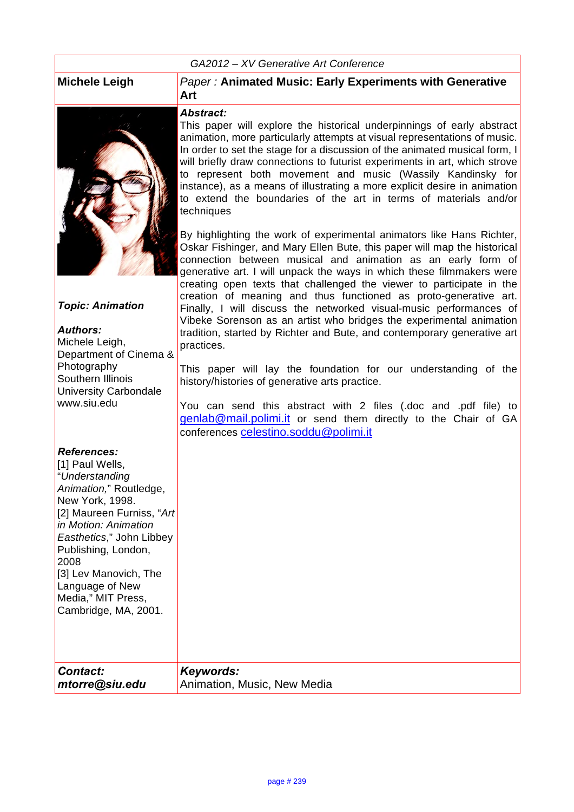#### *GA2012 – XV Generative Art Conference*



#### *Topic: Animation*

#### *Authors:*

Michele Leigh, Department of Cinema & **Photography** Southern Illinois University Carbondale www.siu.edu

## *References:*

### [1] Paul Wells, "*Understanding Animation,*" Routledge, New York, 1998. [2] Maureen Furniss, "*Art in Motion: Animation Easthetics*," John Libbey Publishing, London, 2008 [3] Lev Manovich, The Language of New Media," MIT Press, Cambridge, MA, 2001.

| <b>Contact:</b> | Keywords:                   |
|-----------------|-----------------------------|
| mtorre@siu.edu  | Animation, Music, New Media |

### **Michele Leigh** *Paper :* **Animated Music: Early Experiments with Generative Art**

#### *Abstract:*

This paper will explore the historical underpinnings of early abstract animation, more particularly attempts at visual representations of music. In order to set the stage for a discussion of the animated musical form, I will briefly draw connections to futurist experiments in art, which strove to represent both movement and music (Wassily Kandinsky for instance), as a means of illustrating a more explicit desire in animation to extend the boundaries of the art in terms of materials and/or techniques

By highlighting the work of experimental animators like Hans Richter, Oskar Fishinger, and Mary Ellen Bute, this paper will map the historical connection between musical and animation as an early form of generative art. I will unpack the ways in which these filmmakers were creating open texts that challenged the viewer to participate in the creation of meaning and thus functioned as proto-generative art. Finally, I will discuss the networked visual-music performances of Vibeke Sorenson as an artist who bridges the experimental animation tradition, started by Richter and Bute, and contemporary generative art practices.

This paper will lay the foundation for our understanding of the history/histories of generative arts practice.

You can send this abstract with 2 files (.doc and .pdf file) to genlab@mail.polimi.it or send them directly to the Chair of GA conferences celestino.soddu@polimi.it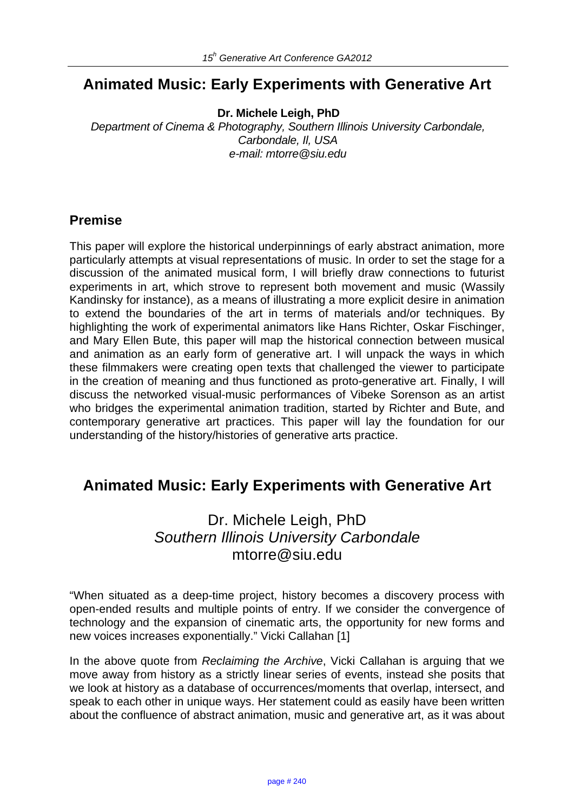# **Animated Music: Early Experiments with Generative Art**

**Dr. Michele Leigh, PhD**

*Department of Cinema & Photography, Southern Illinois University Carbondale, Carbondale, Il, USA e-mail: mtorre@siu.edu*

## **Premise**

This paper will explore the historical underpinnings of early abstract animation, more particularly attempts at visual representations of music. In order to set the stage for a discussion of the animated musical form, I will briefly draw connections to futurist experiments in art, which strove to represent both movement and music (Wassily Kandinsky for instance), as a means of illustrating a more explicit desire in animation to extend the boundaries of the art in terms of materials and/or techniques. By highlighting the work of experimental animators like Hans Richter, Oskar Fischinger, and Mary Ellen Bute, this paper will map the historical connection between musical and animation as an early form of generative art. I will unpack the ways in which these filmmakers were creating open texts that challenged the viewer to participate in the creation of meaning and thus functioned as proto-generative art. Finally, I will discuss the networked visual-music performances of Vibeke Sorenson as an artist who bridges the experimental animation tradition, started by Richter and Bute, and contemporary generative art practices. This paper will lay the foundation for our understanding of the history/histories of generative arts practice.

# **Animated Music: Early Experiments with Generative Art**

# Dr. Michele Leigh, PhD *Southern Illinois University Carbondale* mtorre@siu.edu

"When situated as a deep-time project, history becomes a discovery process with open-ended results and multiple points of entry. If we consider the convergence of technology and the expansion of cinematic arts, the opportunity for new forms and new voices increases exponentially." Vicki Callahan [1]

In the above quote from *Reclaiming the Archive*, Vicki Callahan is arguing that we move away from history as a strictly linear series of events, instead she posits that we look at history as a database of occurrences/moments that overlap, intersect, and speak to each other in unique ways. Her statement could as easily have been written about the confluence of abstract animation, music and generative art, as it was about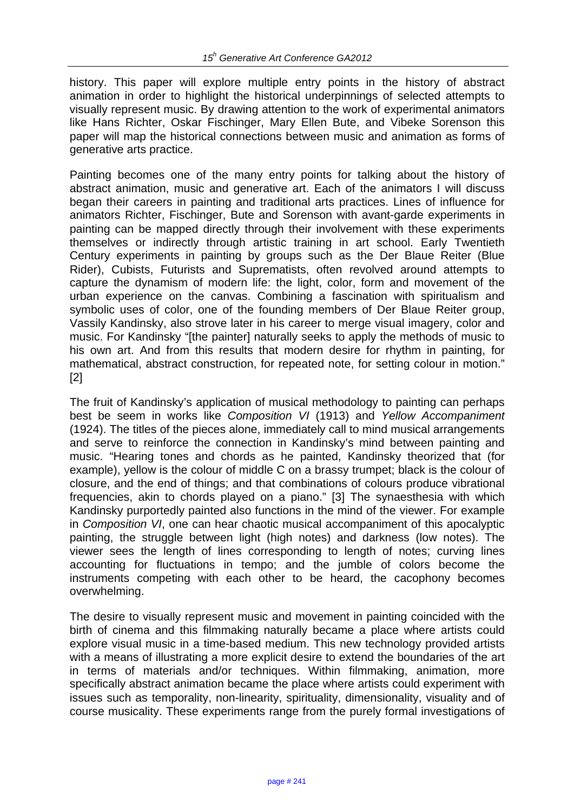history. This paper will explore multiple entry points in the history of abstract animation in order to highlight the historical underpinnings of selected attempts to visually represent music. By drawing attention to the work of experimental animators like Hans Richter, Oskar Fischinger, Mary Ellen Bute, and Vibeke Sorenson this paper will map the historical connections between music and animation as forms of generative arts practice.

Painting becomes one of the many entry points for talking about the history of abstract animation, music and generative art. Each of the animators I will discuss began their careers in painting and traditional arts practices. Lines of influence for animators Richter, Fischinger, Bute and Sorenson with avant-garde experiments in painting can be mapped directly through their involvement with these experiments themselves or indirectly through artistic training in art school. Early Twentieth Century experiments in painting by groups such as the Der Blaue Reiter (Blue Rider), Cubists, Futurists and Suprematists, often revolved around attempts to capture the dynamism of modern life: the light, color, form and movement of the urban experience on the canvas. Combining a fascination with spiritualism and symbolic uses of color, one of the founding members of Der Blaue Reiter group, Vassily Kandinsky, also strove later in his career to merge visual imagery, color and music. For Kandinsky "[the painter] naturally seeks to apply the methods of music to his own art. And from this results that modern desire for rhythm in painting, for mathematical, abstract construction, for repeated note, for setting colour in motion." [2]

The fruit of Kandinsky's application of musical methodology to painting can perhaps best be seem in works like *Composition VI* (1913) and *Yellow Accompaniment* (1924). The titles of the pieces alone, immediately call to mind musical arrangements and serve to reinforce the connection in Kandinsky's mind between painting and music. "Hearing tones and chords as he painted, Kandinsky theorized that (for example), yellow is the colour of middle C on a brassy trumpet; black is the colour of closure, and the end of things; and that combinations of colours produce vibrational frequencies, akin to chords played on a piano." [3] The synaesthesia with which Kandinsky purportedly painted also functions in the mind of the viewer. For example in *Composition VI*, one can hear chaotic musical accompaniment of this apocalyptic painting, the struggle between light (high notes) and darkness (low notes). The viewer sees the length of lines corresponding to length of notes; curving lines accounting for fluctuations in tempo; and the jumble of colors become the instruments competing with each other to be heard, the cacophony becomes overwhelming.

The desire to visually represent music and movement in painting coincided with the birth of cinema and this filmmaking naturally became a place where artists could explore visual music in a time-based medium. This new technology provided artists with a means of illustrating a more explicit desire to extend the boundaries of the art in terms of materials and/or techniques. Within filmmaking, animation, more specifically abstract animation became the place where artists could experiment with issues such as temporality, non-linearity, spirituality, dimensionality, visuality and of course musicality. These experiments range from the purely formal investigations of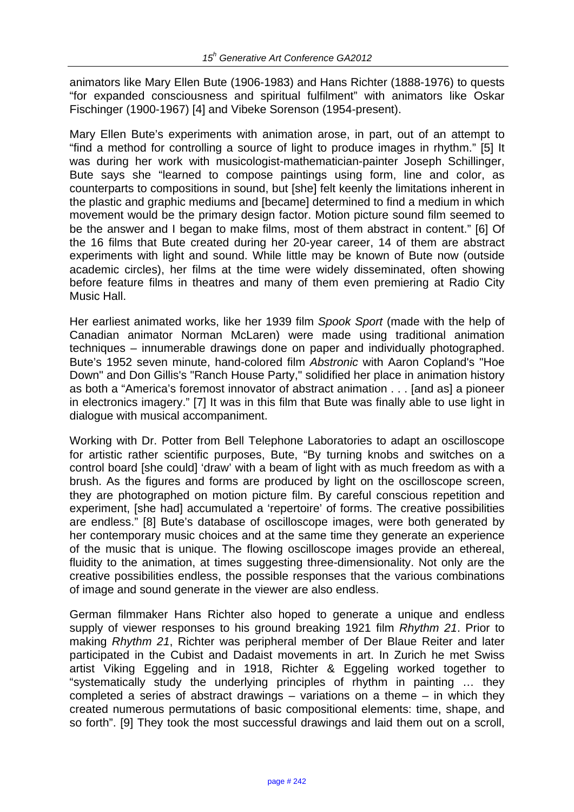animators like Mary Ellen Bute (1906-1983) and Hans Richter (1888-1976) to quests "for expanded consciousness and spiritual fulfilment" with animators like Oskar Fischinger (1900-1967) [4] and Vibeke Sorenson (1954-present).

Mary Ellen Bute's experiments with animation arose, in part, out of an attempt to "find a method for controlling a source of light to produce images in rhythm." [5] It was during her work with musicologist-mathematician-painter Joseph Schillinger, Bute says she "learned to compose paintings using form, line and color, as counterparts to compositions in sound, but [she] felt keenly the limitations inherent in the plastic and graphic mediums and [became] determined to find a medium in which movement would be the primary design factor. Motion picture sound film seemed to be the answer and I began to make films, most of them abstract in content." [6] Of the 16 films that Bute created during her 20-year career, 14 of them are abstract experiments with light and sound. While little may be known of Bute now (outside academic circles), her films at the time were widely disseminated, often showing before feature films in theatres and many of them even premiering at Radio City Music Hall.

Her earliest animated works, like her 1939 film *Spook Sport* (made with the help of Canadian animator Norman McLaren) were made using traditional animation techniques – innumerable drawings done on paper and individually photographed. Bute's 1952 seven minute, hand-colored film *Abstronic* with Aaron Copland's "Hoe Down" and Don Gillis's "Ranch House Party," solidified her place in animation history as both a "America's foremost innovator of abstract animation . . . [and as] a pioneer in electronics imagery." [7] It was in this film that Bute was finally able to use light in dialogue with musical accompaniment.

Working with Dr. Potter from Bell Telephone Laboratories to adapt an oscilloscope for artistic rather scientific purposes, Bute, "By turning knobs and switches on a control board [she could] 'draw' with a beam of light with as much freedom as with a brush. As the figures and forms are produced by light on the oscilloscope screen, they are photographed on motion picture film. By careful conscious repetition and experiment, [she had] accumulated a 'repertoire' of forms. The creative possibilities are endless." [8] Bute's database of oscilloscope images, were both generated by her contemporary music choices and at the same time they generate an experience of the music that is unique. The flowing oscilloscope images provide an ethereal, fluidity to the animation, at times suggesting three-dimensionality. Not only are the creative possibilities endless, the possible responses that the various combinations of image and sound generate in the viewer are also endless.

German filmmaker Hans Richter also hoped to generate a unique and endless supply of viewer responses to his ground breaking 1921 film *Rhythm 21*. Prior to making *Rhythm 21*, Richter was peripheral member of Der Blaue Reiter and later participated in the Cubist and Dadaist movements in art. In Zurich he met Swiss artist Viking Eggeling and in 1918, Richter & Eggeling worked together to "systematically study the underlying principles of rhythm in painting … they completed a series of abstract drawings – variations on a theme – in which they created numerous permutations of basic compositional elements: time, shape, and so forth". [9] They took the most successful drawings and laid them out on a scroll,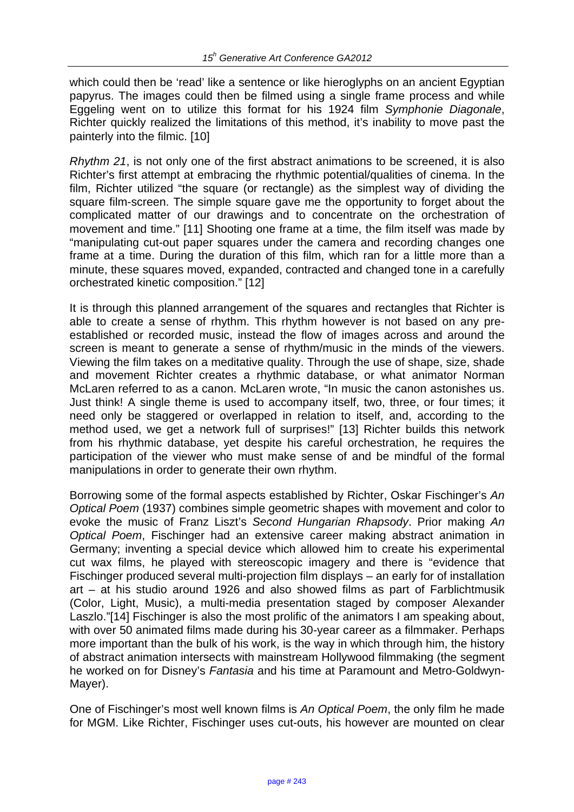which could then be 'read' like a sentence or like hieroglyphs on an ancient Egyptian papyrus. The images could then be filmed using a single frame process and while Eggeling went on to utilize this format for his 1924 film *Symphonie Diagonale*, Richter quickly realized the limitations of this method, it's inability to move past the painterly into the filmic. [10]

*Rhythm 21*, is not only one of the first abstract animations to be screened, it is also Richter's first attempt at embracing the rhythmic potential/qualities of cinema. In the film, Richter utilized "the square (or rectangle) as the simplest way of dividing the square film-screen. The simple square gave me the opportunity to forget about the complicated matter of our drawings and to concentrate on the orchestration of movement and time." [11] Shooting one frame at a time, the film itself was made by "manipulating cut-out paper squares under the camera and recording changes one frame at a time. During the duration of this film, which ran for a little more than a minute, these squares moved, expanded, contracted and changed tone in a carefully orchestrated kinetic composition." [12]

It is through this planned arrangement of the squares and rectangles that Richter is able to create a sense of rhythm. This rhythm however is not based on any preestablished or recorded music, instead the flow of images across and around the screen is meant to generate a sense of rhythm/music in the minds of the viewers. Viewing the film takes on a meditative quality. Through the use of shape, size, shade and movement Richter creates a rhythmic database, or what animator Norman McLaren referred to as a canon. McLaren wrote, "In music the canon astonishes us. Just think! A single theme is used to accompany itself, two, three, or four times; it need only be staggered or overlapped in relation to itself, and, according to the method used, we get a network full of surprises!" [13] Richter builds this network from his rhythmic database, yet despite his careful orchestration, he requires the participation of the viewer who must make sense of and be mindful of the formal manipulations in order to generate their own rhythm.

Borrowing some of the formal aspects established by Richter, Oskar Fischinger's *An Optical Poem* (1937) combines simple geometric shapes with movement and color to evoke the music of Franz Liszt's *Second Hungarian Rhapsody*. Prior making *An Optical Poem*, Fischinger had an extensive career making abstract animation in Germany; inventing a special device which allowed him to create his experimental cut wax films, he played with stereoscopic imagery and there is "evidence that Fischinger produced several multi-projection film displays – an early for of installation art – at his studio around 1926 and also showed films as part of Farblichtmusik (Color, Light, Music), a multi-media presentation staged by composer Alexander Laszlo."[14] Fischinger is also the most prolific of the animators I am speaking about, with over 50 animated films made during his 30-year career as a filmmaker. Perhaps more important than the bulk of his work, is the way in which through him, the history of abstract animation intersects with mainstream Hollywood filmmaking (the segment he worked on for Disney's *Fantasia* and his time at Paramount and Metro-Goldwyn-Mayer).

One of Fischinger's most well known films is *An Optical Poem*, the only film he made for MGM. Like Richter, Fischinger uses cut-outs, his however are mounted on clear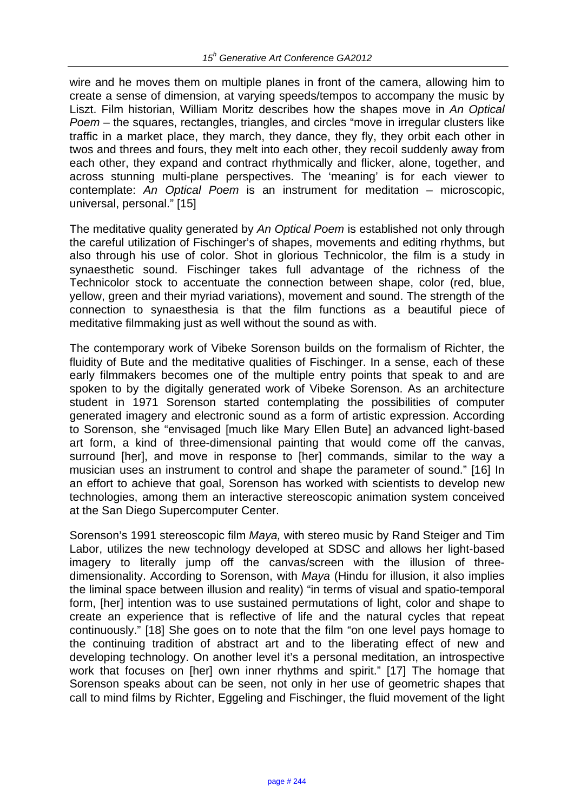wire and he moves them on multiple planes in front of the camera, allowing him to create a sense of dimension, at varying speeds/tempos to accompany the music by Liszt. Film historian, William Moritz describes how the shapes move in *An Optical Poem* – the squares, rectangles, triangles, and circles "move in irregular clusters like traffic in a market place, they march, they dance, they fly, they orbit each other in twos and threes and fours, they melt into each other, they recoil suddenly away from each other, they expand and contract rhythmically and flicker, alone, together, and across stunning multi-plane perspectives. The 'meaning' is for each viewer to contemplate: *An Optical Poem* is an instrument for meditation – microscopic, universal, personal." [15]

The meditative quality generated by *An Optical Poem* is established not only through the careful utilization of Fischinger's of shapes, movements and editing rhythms, but also through his use of color. Shot in glorious Technicolor, the film is a study in synaesthetic sound. Fischinger takes full advantage of the richness of the Technicolor stock to accentuate the connection between shape, color (red, blue, yellow, green and their myriad variations), movement and sound. The strength of the connection to synaesthesia is that the film functions as a beautiful piece of meditative filmmaking just as well without the sound as with.

The contemporary work of Vibeke Sorenson builds on the formalism of Richter, the fluidity of Bute and the meditative qualities of Fischinger. In a sense, each of these early filmmakers becomes one of the multiple entry points that speak to and are spoken to by the digitally generated work of Vibeke Sorenson. As an architecture student in 1971 Sorenson started contemplating the possibilities of computer generated imagery and electronic sound as a form of artistic expression. According to Sorenson, she "envisaged [much like Mary Ellen Bute] an advanced light-based art form, a kind of three-dimensional painting that would come off the canvas, surround [her], and move in response to [her] commands, similar to the way a musician uses an instrument to control and shape the parameter of sound." [16] In an effort to achieve that goal, Sorenson has worked with scientists to develop new technologies, among them an interactive stereoscopic animation system conceived at the San Diego Supercomputer Center.

Sorenson's 1991 stereoscopic film *Maya,* with stereo music by Rand Steiger and Tim Labor, utilizes the new technology developed at SDSC and allows her light-based imagery to literally jump off the canvas/screen with the illusion of threedimensionality. According to Sorenson, with *Maya* (Hindu for illusion, it also implies the liminal space between illusion and reality) "in terms of visual and spatio-temporal form, [her] intention was to use sustained permutations of light, color and shape to create an experience that is reflective of life and the natural cycles that repeat continuously." [18] She goes on to note that the film "on one level pays homage to the continuing tradition of abstract art and to the liberating effect of new and developing technology. On another level it's a personal meditation, an introspective work that focuses on [her] own inner rhythms and spirit." [17] The homage that Sorenson speaks about can be seen, not only in her use of geometric shapes that call to mind films by Richter, Eggeling and Fischinger, the fluid movement of the light